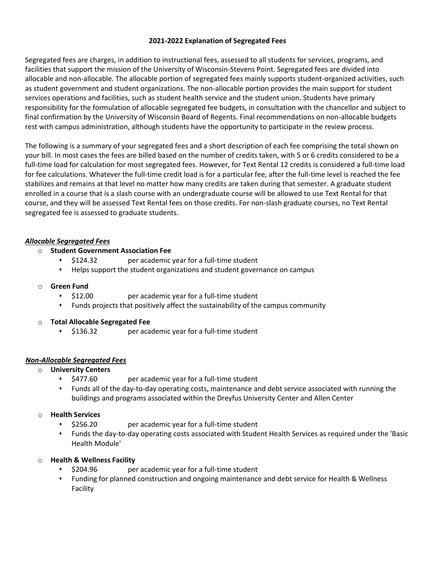# **2021-2022 Explanation of Segregated Fees**

Segregated fees are charges, in addition to instructional fees, assessed to all students for services, programs, and facilities that support the mission of the University of Wisconsin-Stevens Point. Segregated fees are divided into allocable and non-allocable. The allocable portion of segregated fees mainly supports student-organized activities, such as student government and student organizations. The non-allocable portion provides the main support for student services operations and facilities, such as student health service and the student union. Students have primary responsibility for the formulation of allocable segregated fee budgets, in consultation with the chancellor and subject to final confirmation by the University of Wisconsin Board of Regents. Final recommendations on non-allocable budgets rest with campus administration, although students have the opportunity to participate in the review process.

The following is a summary of your segregated fees and a short description of each fee comprising the total shown on your bill. In most cases the fees are billed based on the number of credits taken, with 5 or 6 credits considered to be a full-time load for calculation for most segregated fees. However, for Text Rental 12 credits is considered a full-time load for fee calculations. Whatever the full-time credit load is for a particular fee, after the full-time level is reached the fee stabilizes and remains at that level no matter how many credits are taken during that semester. A graduate student enrolled in a course that is a slash course with an undergraduate course will be allowed to use Text Rental for that course, and they will be assessed Text Rental fees on those credits. For non-slash graduate courses, no Text Rental segregated fee is assessed to graduate students.

# *Allocable Segregated Fees*

- o **Student Government Association Fee**
	- ⬧ \$124.32 per academic year for a full-time student
	- ⬧ Helps support the student organizations and student governance on campus

# o **Green Fund**

- ⬧ \$12.00 per academic year for a full-time student
- ⬧ Funds projects that positively affect the sustainability of the campus community

# o **Total Allocable Segregated Fee**

⬧ \$136.32 per academic year for a full-time student

# *Non-Allocable Segregated Fees*

# o **University Centers**

- ⬧ \$477.60 per academic year for a full-time student
- ⬧ Funds all of the day-to-day operating costs, maintenance and debt service associated with running the buildings and programs associated within the Dreyfus University Center and Allen Center

# o **Health Services**

- ⬧ \$256.20 per academic year for a full-time student
- ⬧ Funds the day-to-day operating costs associated with Student Health Services as required under the 'Basic Health Module'

# o **Health & Wellness Facility**

- ⬧ \$204.96 per academic year for a full-time student
- ⬧ Funding for planned construction and ongoing maintenance and debt service for Health & Wellness Facility